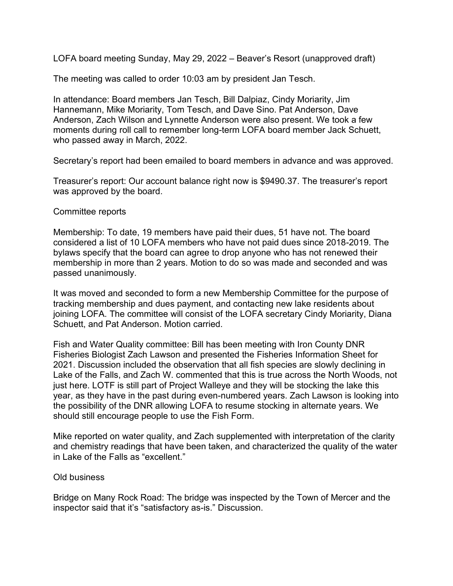LOFA board meeting Sunday, May 29, 2022 – Beaver's Resort (unapproved draft)

The meeting was called to order 10:03 am by president Jan Tesch.

In attendance: Board members Jan Tesch, Bill Dalpiaz, Cindy Moriarity, Jim Hannemann, Mike Moriarity, Tom Tesch, and Dave Sino. Pat Anderson, Dave Anderson, Zach Wilson and Lynnette Anderson were also present. We took a few moments during roll call to remember long-term LOFA board member Jack Schuett, who passed away in March, 2022.

Secretary's report had been emailed to board members in advance and was approved.

Treasurer's report: Our account balance right now is \$9490.37. The treasurer's report was approved by the board.

## Committee reports

Membership: To date, 19 members have paid their dues, 51 have not. The board considered a list of 10 LOFA members who have not paid dues since 2018-2019. The bylaws specify that the board can agree to drop anyone who has not renewed their membership in more than 2 years. Motion to do so was made and seconded and was passed unanimously.

It was moved and seconded to form a new Membership Committee for the purpose of tracking membership and dues payment, and contacting new lake residents about joining LOFA. The committee will consist of the LOFA secretary Cindy Moriarity, Diana Schuett, and Pat Anderson. Motion carried.

Fish and Water Quality committee: Bill has been meeting with Iron County DNR Fisheries Biologist Zach Lawson and presented the Fisheries Information Sheet for 2021. Discussion included the observation that all fish species are slowly declining in Lake of the Falls, and Zach W. commented that this is true across the North Woods, not just here. LOTF is still part of Project Walleye and they will be stocking the lake this year, as they have in the past during even-numbered years. Zach Lawson is looking into the possibility of the DNR allowing LOFA to resume stocking in alternate years. We should still encourage people to use the Fish Form.

Mike reported on water quality, and Zach supplemented with interpretation of the clarity and chemistry readings that have been taken, and characterized the quality of the water in Lake of the Falls as "excellent."

## Old business

Bridge on Many Rock Road: The bridge was inspected by the Town of Mercer and the inspector said that it's "satisfactory as-is." Discussion.